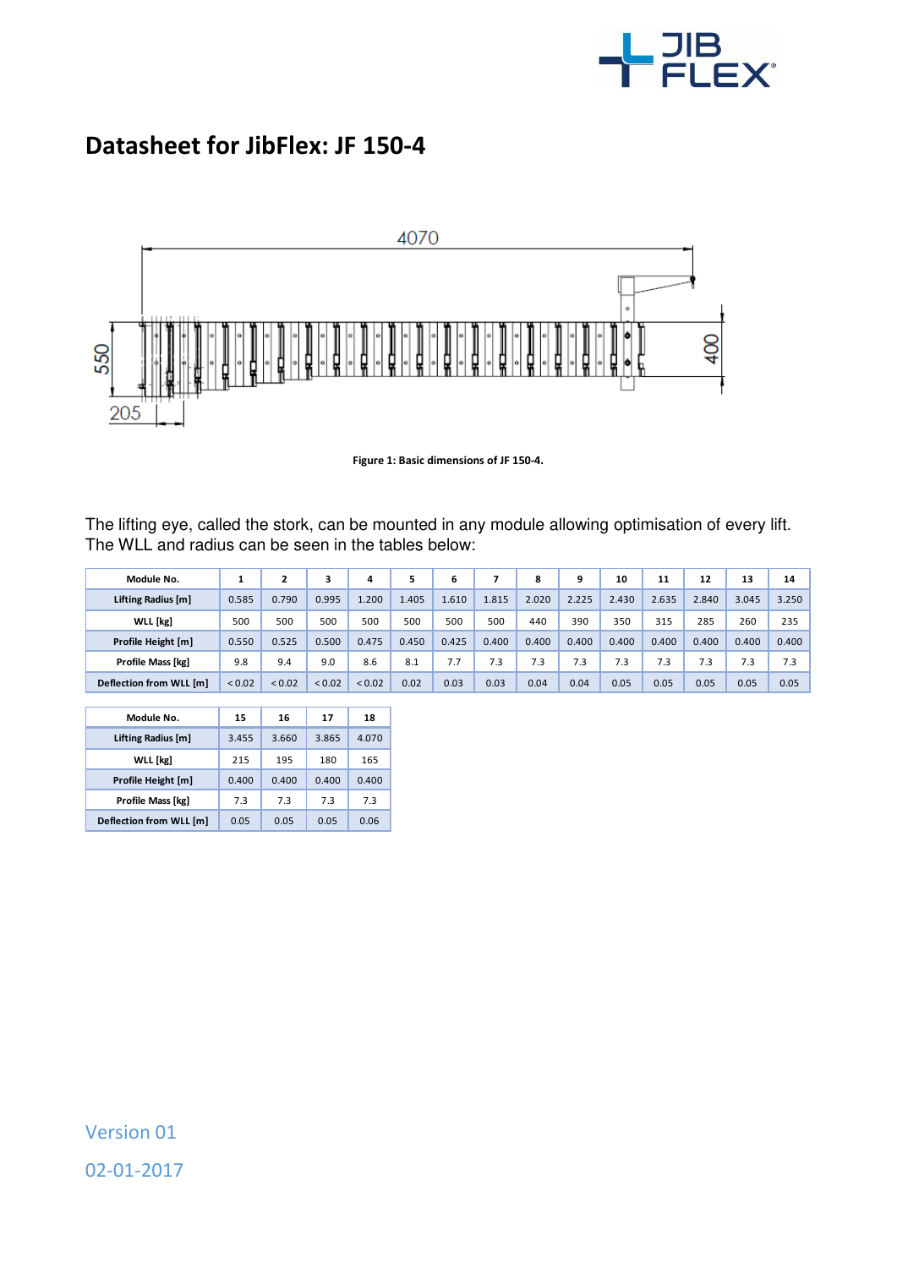

## **Datasheet for JibFlex: JF 150-4**



**Figure 1: Basic dimensions of JF 150-4.** 

The lifting eye, called the stork, can be mounted in any module allowing optimisation of every lift. The WLL and radius can be seen in the tables below:

| Module No.              |        |             |             | 4      | 5     | 6     |       | 8     | 9     | 10    | 11    | 12    | 13    | 14    |
|-------------------------|--------|-------------|-------------|--------|-------|-------|-------|-------|-------|-------|-------|-------|-------|-------|
| Lifting Radius [m]      | 0.585  | 0.790       | 0.995       | L.200  | 1.405 | 1.610 | 1.815 | 2.020 | 2.225 | 2.430 | 2.635 | 2.840 | 3.045 | 3.250 |
| <b>WLL</b> [kg]         | 500    | 500         | 500         | 500    | 500   | 500   | 500   | 440   | 390   | 350   | 315   | 285   | 260   | 235   |
| Profile Height [m]      | 0.550  | 0.525       | 0.500       | 0.475  | 0.450 | 0.425 | 0.400 | 0.400 | 0.400 | 0.400 | 0.400 | 0.400 | 0.400 | 0.400 |
| Profile Mass [kg]       | 9.8    | 9.4         | 9.0         | 8.6    | 8.1   | 7.7   | 7.3   | 7.3   | 7.3   | 7.3   | 7.3   | 7.3   | 7.3   | 7.3   |
| Deflection from WLL [m] | < 0.02 | ${}_{0.02}$ | ${}_{0.02}$ | < 0.02 | 0.02  | 0.03  | 0.03  | 0.04  | 0.04  | 0.05  | 0.05  | 0.05  | 0.05  | 0.05  |

I

| Module No.              | 15    | 16    | 17    | 18    |
|-------------------------|-------|-------|-------|-------|
| Lifting Radius [m]      | 3.455 | 3.660 | 3.865 | 4.070 |
| <b>WLL</b> [kg]         | 215   | 195   | 180   | 165   |
| Profile Height [m]      | 0.400 | 0.400 | 0.400 | 0.400 |
| Profile Mass [kg]       | 7.3   | 7.3   | 7.3   | 7.3   |
| Deflection from WLL [m] | 0.05  | 0.05  | 0.05  | 0.06  |

Version 01 02-01-2017